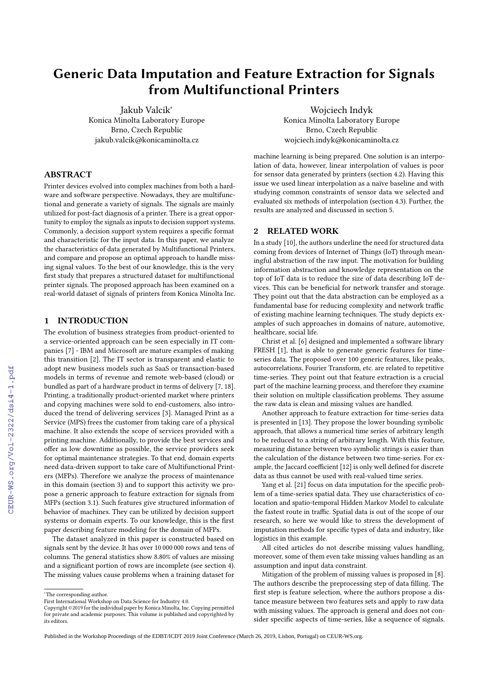# Generic Data Imputation and Feature Extraction for Signals from Multifunctional Printers

Jakub Valcik<sup>∗</sup> Konica Minolta Laboratory Europe Brno, Czech Republic jakub.valcik@konicaminolta.cz

# ABSTRACT

Printer devices evolved into complex machines from both a hardware and software perspective. Nowadays, they are multifunctional and generate a variety of signals. The signals are mainly utilized for post-fact diagnosis of a printer. There is a great opportunity to employ the signals as inputs to decision support systems. Commonly, a decision support system requires a specific format and characteristic for the input data. In this paper, we analyze the characteristics of data generated by Multifunctional Printers, and compare and propose an optimal approach to handle missing signal values. To the best of our knowledge, this is the very first study that prepares a structured dataset for multifunctional printer signals. The proposed approach has been examined on a real-world dataset of signals of printers from Konica Minolta Inc.

# 1 INTRODUCTION

The evolution of business strategies from product-oriented to a service-oriented approach can be seen especially in IT companies [\[7\]](#page--1-0) - IBM and Microsoft are mature examples of making this transition [\[2\]](#page--1-1). The IT sector is transparent and elastic to adopt new business models such as SaaS or transaction-based models in terms of revenue and remote web-based (cloud) or bundled as part of a hardware product in terms of delivery [\[7,](#page--1-0) [18\]](#page--1-2). Printing, a traditionally product-oriented market where printers and copying machines were sold to end-customers, also introduced the trend of delivering services [\[3\]](#page--1-3). Managed Print as a Service (MPS) frees the customer from taking care of a physical machine. It also extends the scope of services provided with a printing machine. Additionally, to provide the best services and offer as low downtime as possible, the service providers seek for optimal maintenance strategies. To that end, domain experts need data-driven support to take care of Multifunctional Printers (MFPs). Therefore we analyze the process of maintenance in this domain (section [3\)](#page--1-4) and to support this activity we propose a generic approach to feature extraction for signals from MFPs (section [3.1\)](#page--1-5). Such features give structured information of behavior of machines. They can be utilized by decision support systems or domain experts. To our knowledge, this is the first paper describing feature modeling for the domain of MFPs.

The dataset analyzed in this paper is constructed based on signals sent by the device. It has over 10 000 000 rows and tens of columns. The general statistics show 8.80% of values are missing and a significant portion of rows are incomplete (see section [4\)](#page--1-6). The missing values cause problems when a training dataset for

Wojciech Indyk Konica Minolta Laboratory Europe Brno, Czech Republic wojciech.indyk@konicaminolta.cz

machine learning is being prepared. One solution is an interpolation of data, however, linear interpolation of values is poor for sensor data generated by printers (section [4.2\)](#page--1-7). Having this issue we used linear interpolation as a naïve baseline and with studying common constraints of sensor data we selected and evaluated six methods of interpolation (section [4.3\)](#page--1-8). Further, the results are analyzed and discussed in section [5.](#page--1-9)

## 2 RELATED WORK

In a study [\[10\]](#page--1-10), the authors underline the need for structured data coming from devices of Internet of Things (IoT) through meaningful abstraction of the raw input. The motivation for building information abstraction and knowledge representation on the top of IoT data is to reduce the size of data describing IoT devices. This can be beneficial for network transfer and storage. They point out that the data abstraction can be employed as a fundamental base for reducing complexity and network traffic of existing machine learning techniques. The study depicts examples of such approaches in domains of nature, automotive, healthcare, social life.

Christ et al. [\[6\]](#page--1-11) designed and implemented a software library FRESH [\[1\]](#page--1-12), that is able to generate generic features for timeseries data. The proposed over 100 generic features, like peaks, autocorrelations, Fourier Transform, etc. are related to repetitive time-series. They point out that feature extraction is a crucial part of the machine learning process, and therefore they examine their solution on multiple classification problems. They assume the raw data is clean and missing values are handled.

Another approach to feature extraction for time-series data is presented in [\[13\]](#page--1-13). They propose the lower bounding symbolic approach, that allows a numerical time series of arbitrary length to be reduced to a string of arbitrary length. With this feature, measuring distance between two symbolic strings is easier than the calculation of the distance between two time-series. For example, the Jaccard coefficient [\[12\]](#page--1-14) is only well defined for discrete data as thus cannot be used with real-valued time series.

Yang et al. [\[21\]](#page--1-15) focus on data imputation for the specific problem of a time-series spatial data. They use characteristics of colocation and spatio-temporal Hidden Markov Model to calculate the fastest route in traffic. Spatial data is out of the scope of our research, so here we would like to stress the development of imputation methods for specific types of data and industry, like logistics in this example.

All cited articles do not describe missing values handling, moreover, some of them even take missing values handling as an assumption and input data constraint.

Mitigation of the problem of missing values is proposed in [\[8\]](#page--1-16). The authors describe the preprocessing step of data filling. The first step is feature selection, where the authors propose a distance measure between two features sets and apply to raw data with missing values. The approach is general and does not consider specific aspects of time-series, like a sequence of signals.

<sup>∗</sup>The corresponding author.

First International Workshop on Data Science for Industry 4.0.

Copyright ©2019 for the individual paper by Konica Minolta, Inc. Copying permitted for private and academic purposes. This volume is published and copyrighted by its editors.

Published in the Workshop Proceedings of the EDBT/ICDT 2019 Joint Conference (March 26, 2019, Lisbon, Portugal) on CEUR-WS.org.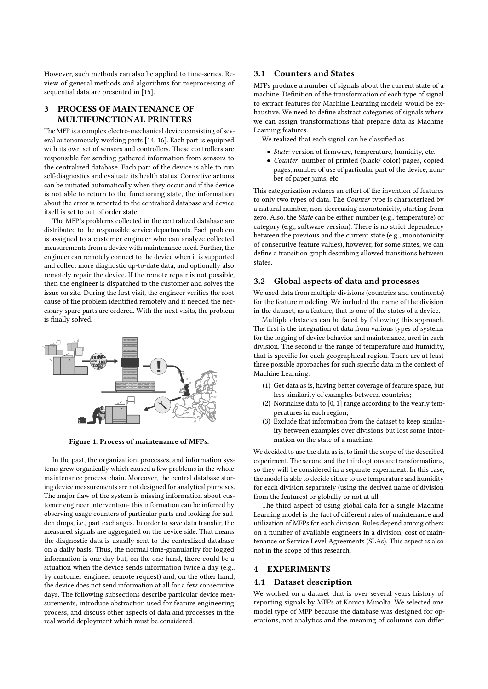However, such methods can also be applied to time-series. Review of general methods and algorithms for preprocessing of sequential data are presented in [\[15\]](#page-4-0).

# 3 PROCESS OF MAINTENANCE OF MULTIFUNCTIONAL PRINTERS

The MFP is a complex electro-mechanical device consisting of several autonomously working parts [\[14,](#page-4-1) [16\]](#page-4-2). Each part is equipped with its own set of sensors and controllers. These controllers are responsible for sending gathered information from sensors to the centralized database. Each part of the device is able to run self-diagnostics and evaluate its health status. Corrective actions can be initiated automatically when they occur and if the device is not able to return to the functioning state, the information about the error is reported to the centralized database and device itself is set to out of order state.

The MFP's problems collected in the centralized database are distributed to the responsible service departments. Each problem is assigned to a customer engineer who can analyze collected measurements from a device with maintenance need. Further, the engineer can remotely connect to the device when it is supported and collect more diagnostic up-to-date data, and optionally also remotely repair the device. If the remote repair is not possible, then the engineer is dispatched to the customer and solves the issue on site. During the first visit, the engineer verifies the root cause of the problem identified remotely and if needed the necessary spare parts are ordered. With the next visits, the problem is finally solved.



Figure 1: Process of maintenance of MFPs.

In the past, the organization, processes, and information systems grew organically which caused a few problems in the whole maintenance process chain. Moreover, the central database storing device measurements are not designed for analytical purposes. The major flaw of the system is missing information about customer engineer intervention- this information can be inferred by observing usage counters of particular parts and looking for sudden drops, i.e., part exchanges. In order to save data transfer, the measured signals are aggregated on the device side. That means the diagnostic data is usually sent to the centralized database on a daily basis. Thus, the normal time-granularity for logged information is one day but, on the one hand, there could be a situation when the device sends information twice a day (e.g., by customer engineer remote request) and, on the other hand, the device does not send information at all for a few consecutive days. The following subsections describe particular device measurements, introduce abstraction used for feature engineering process, and discuss other aspects of data and processes in the real world deployment which must be considered.

#### 3.1 Counters and States

MFPs produce a number of signals about the current state of a machine. Definition of the transformation of each type of signal to extract features for Machine Learning models would be exhaustive. We need to define abstract categories of signals where we can assign transformations that prepare data as Machine Learning features.

We realized that each signal can be classified as

- State: version of firmware, temperature, humidity, etc.
- Counter: number of printed (black/ color) pages, copied pages, number of use of particular part of the device, number of paper jams, etc.

This categorization reduces an effort of the invention of features to only two types of data. The Counter type is characterized by a natural number, non-decreasing monotonicity, starting from zero. Also, the *State* can be either number (e.g., temperature) or category (e.g., software version). There is no strict dependency between the previous and the current state (e.g., monotonicity of consecutive feature values), however, for some states, we can define a transition graph describing allowed transitions between states.

## 3.2 Global aspects of data and processes

We used data from multiple divisions (countries and continents) for the feature modeling. We included the name of the division in the dataset, as a feature, that is one of the states of a device.

Multiple obstacles can be faced by following this approach. The first is the integration of data from various types of systems for the logging of device behavior and maintenance, used in each division. The second is the range of temperature and humidity, that is specific for each geographical region. There are at least three possible approaches for such specific data in the context of Machine Learning:

- (1) Get data as is, having better coverage of feature space, but less similarity of examples between countries;
- Normalize data to  $[0, 1]$  range according to the yearly temperatures in each region;
- (3) Exclude that information from the dataset to keep similarity between examples over divisions but lost some information on the state of a machine.

We decided to use the data as is, to limit the scope of the described experiment. The second and the third options are transformations, so they will be considered in a separate experiment. In this case, the model is able to decide either to use temperature and humidity for each division separately (using the derived name of division from the features) or globally or not at all.

The third aspect of using global data for a single Machine Learning model is the fact of different rules of maintenance and utilization of MFPs for each division. Rules depend among others on a number of available engineers in a division, cost of maintenance or Service Level Agreements (SLAs). This aspect is also not in the scope of this research.

## 4 EXPERIMENTS

## 4.1 Dataset description

We worked on a dataset that is over several years history of reporting signals by MFPs at Konica Minolta. We selected one model type of MFP because the database was designed for operations, not analytics and the meaning of columns can differ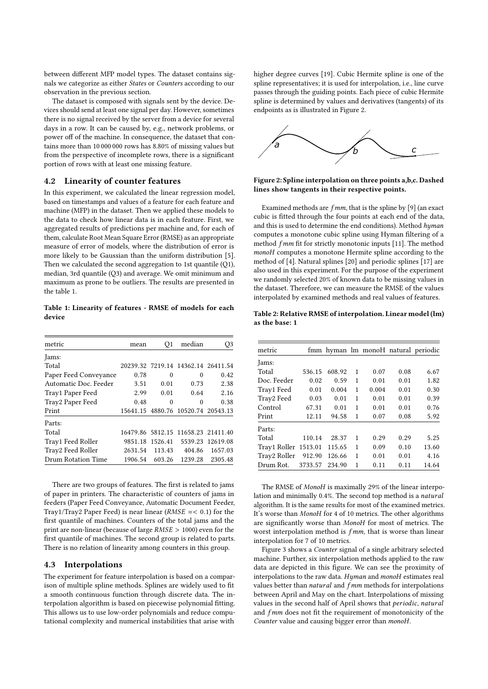between different MFP model types. The dataset contains signals we categorize as either States or Counters according to our observation in the previous section.

The dataset is composed with signals sent by the device. Devices should send at least one signal per day. However, sometimes there is no signal received by the server from a device for several days in a row. It can be caused by, e.g., network problems, or power off of the machine. In consequence, the dataset that contains more than 10 000 000 rows has 8.80% of missing values but from the perspective of incomplete rows, there is a significant portion of rows with at least one missing feature.

## 4.2 Linearity of counter features

In this experiment, we calculated the linear regression model, based on timestamps and values of a feature for each feature and machine (MFP) in the dataset. Then we applied these models to the data to check how linear data is in each feature. First, we aggregated results of predictions per machine and, for each of them, calculate Root Mean Square Error (RMSE) as an appropriate measure of error of models, where the distribution of error is more likely to be Gaussian than the uniform distribution [\[5\]](#page-3-0). Then we calculated the second aggregation to 1st quantile (Q1), median, 3rd quantile (Q3) and average. We omit minimum and maximum as prone to be outliers. The results are presented in the table [1.](#page-2-0)

<span id="page-2-0"></span>Table 1: Linearity of features - RMSE of models for each device

| metric                | mean    | Q1      | median                             | Q3               |
|-----------------------|---------|---------|------------------------------------|------------------|
| Jams:                 |         |         |                                    |                  |
| Total                 |         |         | 20239.32 7219.14 14362.14 26411.54 |                  |
| Paper Feed Conveyance | 0.78    | 0       | 0                                  | 0.42             |
| Automatic Doc. Feeder | 3.51    | 0.01    | 0.73                               | 2.38             |
| Tray1 Paper Feed      | 2.99    | 0.01    | 0.64                               | 2.16             |
| Tray2 Paper Feed      | 0.48    | 0       | 0                                  | 0.38             |
| Print                 |         |         | 15641.15 4880.76 10520.74 20543.13 |                  |
| Parts:                |         |         |                                    |                  |
| Total                 |         |         | 16479.86 5812.15 11658.23 21411.40 |                  |
| Tray1 Feed Roller     | 9851.18 | 1526.41 |                                    | 5539.23 12619.08 |
| Tray2 Feed Roller     | 2631.54 | 113.43  | 404.86                             | 1657.03          |
| Drum Rotation Time    | 1906.54 | 603.26  | 1239.28                            | 2305.48          |

There are two groups of features. The first is related to jams of paper in printers. The characteristic of counters of jams in feeders (Paper Feed Conveyance, Automatic Document Feeder, Tray1/Tray2 Paper Feed) is near linear ( $RMSE$  = < 0.1) for the first quantile of machines. Counters of the total jams and the print are non-linear (because of large RMSE > 1000) even for the first quantile of machines. The second group is related to parts. There is no relation of linearity among counters in this group.

## 4.3 Interpolations

The experiment for feature interpolation is based on a comparison of multiple spline methods. Splines are widely used to fit a smooth continuous function through discrete data. The interpolation algorithm is based on piecewise polynomial fitting. This allows us to use low-order polynomials and reduce computational complexity and numerical instabilities that arise with

higher degree curves [\[19\]](#page-4-3). Cubic Hermite spline is one of the spline representatives; it is used for interpolation, i.e., line curve passes through the guiding points. Each piece of cubic Hermite spline is determined by values and derivatives (tangents) of its endpoints as is illustrated in Figure [2.](#page-2-1)

<span id="page-2-1"></span>

Figure 2: Spline interpolation on three points a,b,c. Dashed lines show tangents in their respective points.

Examined methods are  $f$ mm, that is the spline by [\[9\]](#page-4-4) (an exact cubic is fitted through the four points at each end of the data, and this is used to determine the end conditions). Method hyman computes a monotone cubic spline using Hyman filtering of a method f mm fit for strictly monotonic inputs [\[11\]](#page-4-5). The method monoH computes a monotone Hermite spline according to the method of [\[4\]](#page-3-1). Natural splines [\[20\]](#page-4-6) and periodic splines [\[17\]](#page-4-7) are also used in this experiment. For the purpose of the experiment we randomly selected 20% of known data to be missing values in the dataset. Therefore, we can measure the RMSE of the values interpolated by examined methods and real values of features.

Table 2: Relative RMSE of interpolation. Linear model (lm) as the base: 1

| metric               |         |        |   |       |      | fmm hyman lm monoH natural periodic |
|----------------------|---------|--------|---|-------|------|-------------------------------------|
| Jams:                |         |        |   |       |      |                                     |
| Total                | 536.15  | 608.92 | 1 | 0.07  | 0.08 | 6.67                                |
| Doc. Feeder          | 0.02    | 0.59   | 1 | 0.01  | 0.01 | 1.82                                |
| Tray1 Feed           | 0.01    | 0.004  | 1 | 0.004 | 0.01 | 0.30                                |
| Tray2 Feed           | 0.03    | 0.01   | 1 | 0.01  | 0.01 | 0.39                                |
| Control              | 67.31   | 0.01   | 1 | 0.01  | 0.01 | 0.76                                |
| Print                | 12.11   | 94.58  | 1 | 0.07  | 0.08 | 5.92                                |
| Parts:               |         |        |   |       |      |                                     |
| Total                | 110.14  | 28.37  | 1 | 0.29  | 0.29 | 5.25                                |
| Tray1 Roller 1513.01 |         | 115.65 | 1 | 0.09  | 0.10 | 13.60                               |
| Tray2 Roller         | 912.90  | 126.66 | 1 | 0.01  | 0.01 | 4.16                                |
| Drum Rot.            | 3733.57 | 234.90 | 1 | 0.11  | 0.11 | 14.64                               |

The RMSE of MonoH is maximally 29% of the linear interpolation and minimally 0.4%. The second top method is a natural algorithm. It is the same results for most of the examined metrics. It's worse than MonoH for 4 of 10 metrics. The other algorithms are significantly worse than MonoH for most of metrics. The worst interpolation method is  $f$ *mm*, that is worse than linear interpolation for 7 of 10 metrics.

Figure [3](#page-3-2) shows a Counter signal of a single arbitrary selected machine. Further, six interpolation methods applied to the raw data are depicted in this figure. We can see the proximity of interpolations to the raw data. Hyman and monoH estimates real values better than natural and fmm methods for interpolations between April and May on the chart. Interpolations of missing values in the second half of April shows that periodic, natural and fmm does not fit the requirement of monotonicity of the Counter value and causing bigger error than monoH.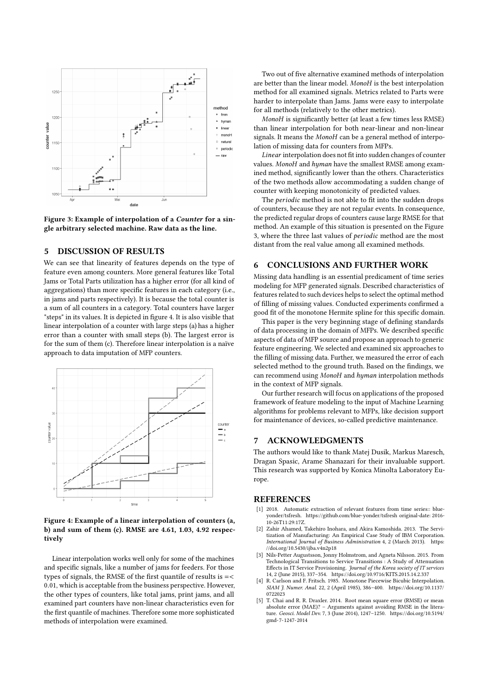<span id="page-3-2"></span>

Figure 3: Example of interpolation of a Counter for a single arbitrary selected machine. Raw data as the line.

## 5 DISCUSSION OF RESULTS

We can see that linearity of features depends on the type of feature even among counters. More general features like Total Jams or Total Parts utilization has a higher error (for all kind of aggregations) than more specific features in each category (i.e., in jams and parts respectively). It is because the total counter is a sum of all counters in a category. Total counters have larger "steps" in its values. It is depicted in figure [4.](#page-3-3) It is also visible that linear interpolation of a counter with large steps (a) has a higher error than a counter with small steps (b). The largest error is for the sum of them (c). Therefore linear interpolation is a naïve approach to data imputation of MFP counters.

<span id="page-3-3"></span>

#### Figure 4: Example of a linear interpolation of counters (a, b) and sum of them (c). RMSE are 4.61, 1.03, 4.92 respectively

Linear interpolation works well only for some of the machines and specific signals, like a number of jams for feeders. For those types of signals, the RMSE of the first quantile of results is  $=<$ <sup>0</sup>.01, which is acceptable from the business perspective. However, the other types of counters, like total jams, print jams, and all examined part counters have non-linear characteristics even for the first quantile of machines. Therefore some more sophisticated methods of interpolation were examined.

Two out of five alternative examined methods of interpolation are better than the linear model. MonoH is the best interpolation method for all examined signals. Metrics related to Parts were harder to interpolate than Jams. Jams were easy to interpolate for all methods (relatively to the other metrics).

MonoH is significantly better (at least a few times less RMSE) than linear interpolation for both near-linear and non-linear signals. It means the MonoH can be a general method of interpolation of missing data for counters from MFPs.

Linear interpolation does not fit into sudden changes of counter values. MonoH and hyman have the smallest RMSE among examined method, significantly lower than the others. Characteristics of the two methods allow accommodating a sudden change of counter with keeping monotonicity of predicted values.

The periodic method is not able to fit into the sudden drops of counters, because they are not regular events. In consequence, the predicted regular drops of counters cause large RMSE for that method. An example of this situation is presented on the Figure [3,](#page-3-2) where the three last values of periodic method are the most distant from the real value among all examined methods.

## 6 CONCLUSIONS AND FURTHER WORK

Missing data handling is an essential predicament of time series modeling for MFP generated signals. Described characteristics of features related to such devices helps to select the optimal method of filling of missing values. Conducted experiments confirmed a good fit of the monotone Hermite spline for this specific domain.

This paper is the very beginning stage of defining standards of data processing in the domain of MFPs. We described specific aspects of data of MFP source and propose an approach to generic feature engineering. We selected and examined six approaches to the filling of missing data. Further, we measured the error of each selected method to the ground truth. Based on the findings, we can recommend using MonoH and hyman interpolation methods in the context of MFP signals.

Our further research will focus on applications of the proposed framework of feature modeling to the input of Machine Learning algorithms for problems relevant to MFPs, like decision support for maintenance of devices, so-called predictive maintenance.

#### 7 ACKNOWLEDGMENTS

The authors would like to thank Matej Dusik, Markus Maresch, Dragan Spasic, Arame Shanazari for their invaluable support. This research was supported by Konica Minolta Laboratory Europe.

#### **REFERENCES**

- [1] 2018. Automatic extraction of relevant features from time series:: blueyonder/tsfresh.<https://github.com/blue-yonder/tsfresh> original-date: 2016- 10-26T11:29:17Z.
- [2] Zahir Ahamed, Takehiro Inohara, and Akira Kamoshida. 2013. The Servitization of Manufacturing: An Empirical Case Study of IBM Corporation. International Journal of Business Administration 4, 2 (March 2013). [https:](https://doi.org/10.5430/ijba.v4n2p18) [//doi.org/10.5430/ijba.v4n2p18](https://doi.org/10.5430/ijba.v4n2p18)
- [3] Nils-Petter Augustsson, Jonny Holmstrom, and Agneta Nilsson. 2015. From Technological Transitions to Service Transitions : A Study of Attenuation Effects in IT Service Provisioning.  ${\it Journal\ of\ the\ Korea\ society\ of\ IT\ services}$ 14, 2 (June 2015), 337–354.<https://doi.org/10.9716/KITS.2015.14.2.337>
- <span id="page-3-1"></span>[4] R. Carlson and F. Fritsch. 1985. Monotone Piecewise Bicubic Interpolation. SIAM J. Numer. Anal. 22, 2 (April 1985), 386–400. [https://doi.org/10.1137/](https://doi.org/10.1137/0722023) [0722023](https://doi.org/10.1137/0722023)
- <span id="page-3-0"></span>[5] T. Chai and R. R. Draxler. 2014. Root mean square error (RMSE) or mean absolute error (MAE)? – Arguments against avoiding RMSE in the litera-ture. Geosci. Model Dev. 7, 3 (June 2014), 1247–1250. [https://doi.org/10.5194/](https://doi.org/10.5194/gmd-7-1247-2014) [gmd-7-1247-2014](https://doi.org/10.5194/gmd-7-1247-2014)